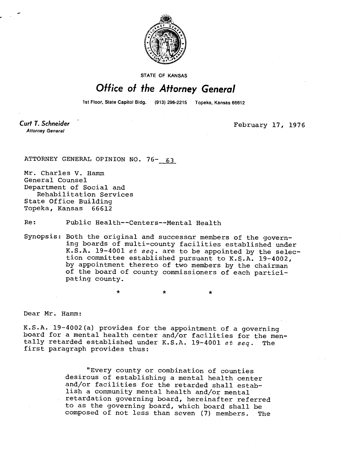

STATE OF KANSAS

## Office of the Attorney General

1st Floor, State Capitol Bldg. (913) 296-2215 Topeka, Kansas 66612

Curt T. Schneider **Attorney General** 

February 17, 1976

ATTORNEY GENERAL OPINION NO. 76- 63

Mr. Charles V. Hamm General Counsel Department of Social and Rehabilitation Services State Office Building Topeka, Kansas 66612

Re: Public Health--Centers--Mental Health

Synopsis: Both the original and successor members of the governing boards of multi-county facilities established under K.S.A. 19-4001 et seq. are to be appointed by the selection committee established pursuant to K.S.A. 19-4002, by appointment thereto of two members by the chairman of the board of county commissioners of each participating county.

\*

Dear Mr. Hamm:

K.S.A. 19-4002(a) provides for the appointment of a governing board for a mental health center and/or facilities for the mentally retarded established under K.S.A. 19-4001 et seq. The first paragraph provides thus:

> "Every county or combination of counties desirous of establishing a mental health center and/or facilities for the retarded shall establish a community mental health and/or mental retardation governing board, hereinafter referred to as the governing board, which board shall be composed of not less than seven (7) members. The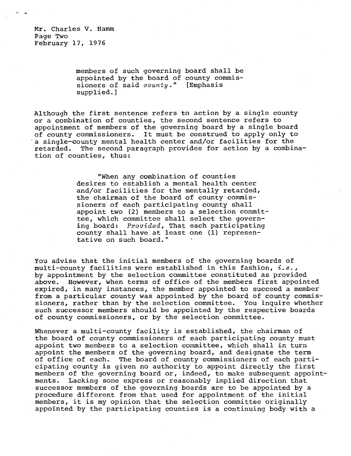Mr. Charles V. Hamm Page Two February 17, 1976

> members of such governing board shall be appointed by the board of county commissioners of said county." [Emphasis supplied.]

Although the first sentence refers to action by a single county or a combination of counties, the second sentence refers to appointment of members of the governing board by a single board of county commissioners. It must be construed to apply only to a single-county mental health center and/or facilities for the retarded. The second paragraph provides for action by a combination of counties, thus:

> "When any combination of counties desires to establish a mental health center and/or facilities for the mentally retarded, the chairman of the board of county commissioners of each participating county shall appoint two (2) members to a selection committee, which committee shall select the governing board: Provided, That each participating county shall have at least one (1) representative on such board."

You advise that the initial members of the governing boards of multi-county facilities were established in this fashion,  $i.e.,$ by appointment by the selection committee constituted as provided above. However, when terms of office of the members first appointed expired, in many instances, the member appointed to succeed a member from a particular county was appointed by the board of county commissioners, rather than by the selection committee. You inquire whether such successor members should be appointed by the respective boards of county commissioners, or by the selection committee.

Whenever a multi-county facility is established, the chairman of the board of county commissioners of each participating county must appoint two members to a selection committee, which shall in turn appoint the members of the governing board, and designate the term of office of each. The board of county commissioners of each participating county is given no authority to appoint directly the first members of the governing board or, indeed, to make subsequent appointments. Lacking some express or reasonably implied direction that successor members of the governing boards are to be appointed by a procedure different from that used for appointment of the initial members, it is my opinion that the selection committee originally appointed by the participating counties is a continuing body with a